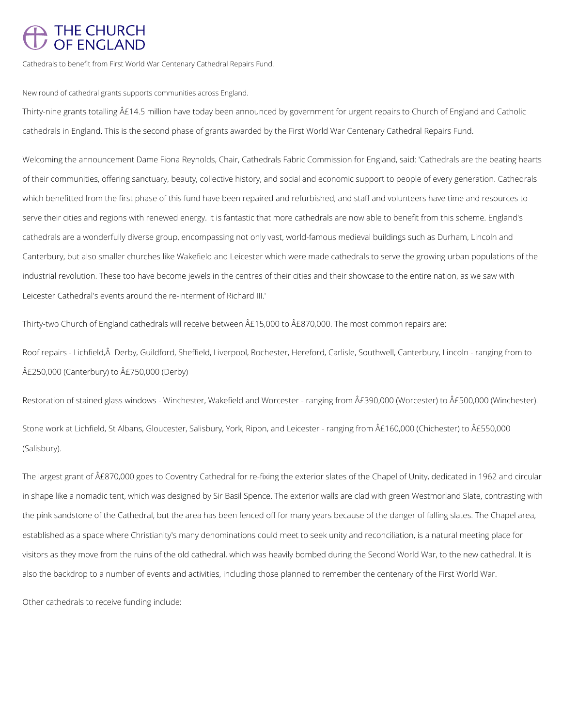## THE CHURCH<br>OF ENGLAND

Cathedrals to benefit from First World War Centenary Cathedral Repairs Fund.

New round of cathedral grants supports communities across England.

Thirty-nine grants totalling £14.5 million have today been announced by government for urgent repairs to Church of England and Catholic cathedrals in England. This is the second phase of grants awarded by the First World War Centenary Cathedral Repairs Fund.

Roof repairs - Lichfield, Â Derby, Guildford, Sheffield, Liverpool, Rochester, Hereford, Carlisle, Southwell, Canterbury, Lincoln - ranging from to £250,000 (Canterbury) to £750,000 (Derby)

Welcoming the announcement Dame Fiona Reynolds, Chair, Cathedrals Fabric Commission for England, said: 'Cathedrals are the beating hearts of their communities, offering sanctuary, beauty, collective history, and social and economic support to people of every generation. Cathedrals which benefitted from the first phase of this fund have been repaired and refurbished, and staff and volunteers have time and resources to serve their cities and regions with renewed energy. It is fantastic that more cathedrals are now able to benefit from this scheme. England's cathedrals are a wonderfully diverse group, encompassing not only vast, world-famous medieval buildings such as Durham, Lincoln and Canterbury, but also smaller churches like Wakefield and Leicester which were made cathedrals to serve the growing urban populations of the industrial revolution. These too have become jewels in the centres of their cities and their showcase to the entire nation, as we saw with Leicester Cathedral's events around the re-interment of Richard III.'

Thirty-two Church of England cathedrals will receive between  $\hat{A}E15,000$  to  $\hat{A}E870,000$ . The most common repairs are:

Restoration of stained glass windows - Winchester, Wakefield and Worcester - ranging from  $\hat{A}E390,000$  (Worcester) to  $\hat{A}E500,000$  (Winchester). Stone work at Lichfield, St Albans, Gloucester, Salisbury, York, Ripon, and Leicester - ranging from  $\hat{A}E160,000$  (Chichester) to  $\hat{A}E550,000$ (Salisbury).

The largest grant of £870,000 goes to Coventry Cathedral for re-fixing the exterior slates of the Chapel of Unity, dedicated in 1962 and circular in shape like a nomadic tent, which was designed by Sir Basil Spence. The exterior walls are clad with green Westmorland Slate, contrasting with the pink sandstone of the Cathedral, but the area has been fenced off for many years because of the danger of falling slates. The Chapel area, established as a space where Christianity's many denominations could meet to seek unity and reconciliation, is a natural meeting place for

visitors as they move from the ruins of the old cathedral, which was heavily bombed during the Second World War, to the new cathedral. It is

also the backdrop to a number of events and activities, including those planned to remember the centenary of the First World War.

Other cathedrals to receive funding include: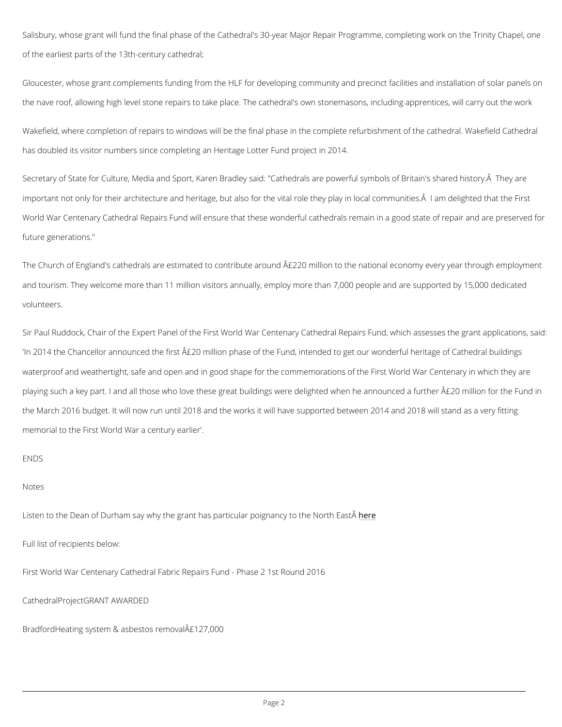Salisbury, whose grant will fund the final phase of the Cathedral's 30-year Major Repair Prog of the earliest parts of the 13th-century cathedral;

Gloucester, whose grant complements funding from the HLF for developing community and pre the nave roof, allowing high level stone repairs to take place. The cathedral's own stonemas

Wakefield, where completion of repairs to windows will be the final phase in the complete ref has doubled its visitor numbers since completing an Heritage Lotter Fund project in 2014.

Secretary of State for Culture, Media and Sport, Karen Bradley said: "Cathedrals are powerfu important not only for their architecture and heritage, but also for the vital role they play in World War Centenary Cathedral Repairs Fund will ensure that these wonderful cathedrals rem future generations."

The Church of England's cathedrals are estimated to contribute around  $\mathsf{A} \mathfrak{L} 220$  million to the n and tourism. They welcome more than 11 million visitors annually, employ more than 7,000 people and are support volunteers.

Sir Paul Ruddock, Chair of the Expert Panel of the First World War Centenary Cathedral Rep 'In 2014 the Chancellor announced the first  $\mathsf{A}\mathfrak{L}$ 20 million phase of the Fund, intended to get waterproof and weathertight, safe and open and in good shape for the commemorations of the playing such a key part. I and all those who love these great buildings were delighted when I the March 2016 budget. It will now run until 2018 and the works it will have supported betwe memorial to the First World War a century earlier'.

## ENDS

## Notes

Listen to the Dean of Durham say why the grant has partichue ae poignancy to the North EastÂ

Full list of recipients below:

First World War Centenary Cathedral Fabric Repairs Fund - Phase 2 1st Round 2016

CathedralProjectGRANT AWARDED

Bradford Heating system & asbestos removal  $\hat{A}$ £127,000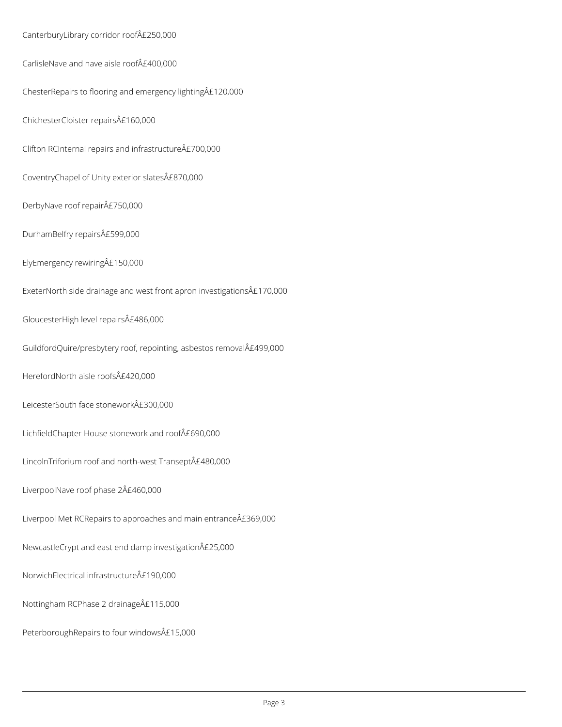CanterburyLibrary corridor roof£250,000 CarlisleNave and nave aisle roof£400,000 ChesterRepairs to flooring and emergency lighting£120,000 ChichesterCloister repairs£160,000 Clifton RCInternal repairs and infrastructure $\hat{A}E700,000$ CoventryChapel of Unity exterior slates£870,000 DerbyNave roof repair£750,000 DurhamBelfry repairs£599,000 ElyEmergency rewiring£150,000 ExeterNorth side drainage and west front apron investigations£170,000 GloucesterHigh level repairs£486,000 GuildfordQuire/presbytery roof, repointing, asbestos removal£499,000 HerefordNorth aisle roofs£420,000 LeicesterSouth face stonework£300,000 LichfieldChapter House stonework and roof£690,000 LincolnTriforium roof and north-west Transept£480,000

Liverpool Met RCRepairs to approaches and main entrance  $\hat{A}E369,000$ 

NewcastleCrypt and east end damp investigation£25,000

NorwichElectrical infrastructure£190,000

LiverpoolNave roof phase 2£460,000

Nottingham RCPhase 2 drainage£115,000

PeterboroughRepairs to four windows£15,000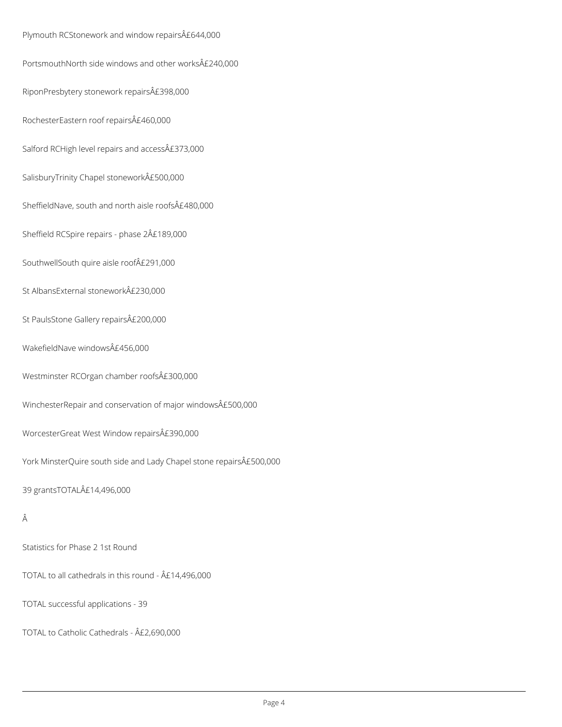Plymouth RCStonework and window repairs£644,000 PortsmouthNorth side windows and other works£240,000 RiponPresbytery stonework repairs£398,000 RochesterEastern roof repairs£460,000 Salford RCHigh level repairs and access£373,000 SalisburyTrinity Chapel stonework£500,000 SheffieldNave, south and north aisle roofs£480,000 Sheffield RCSpire repairs - phase 2£189,000 SouthwellSouth quire aisle roof£291,000 St AlbansExternal stonework£230,000 St PaulsStone Gallery repairs£200,000 WakefieldNave windows£456,000 Westminster RCOrgan chamber roofs£300,000 WinchesterRepair and conservation of major windows£500,000 WorcesterGreat West Window repairs£390,000 York MinsterQuire south side and Lady Chapel stone repairs£500,000 39 grantsTOTAL£14,496,000

Â

Statistics for Phase 2 1st Round

TOTAL to all cathedrals in this round -  $\hat{A}E14,496,000$ 

TOTAL successful applications - 39

TOTAL to Catholic Cathedrals - £2,690,000